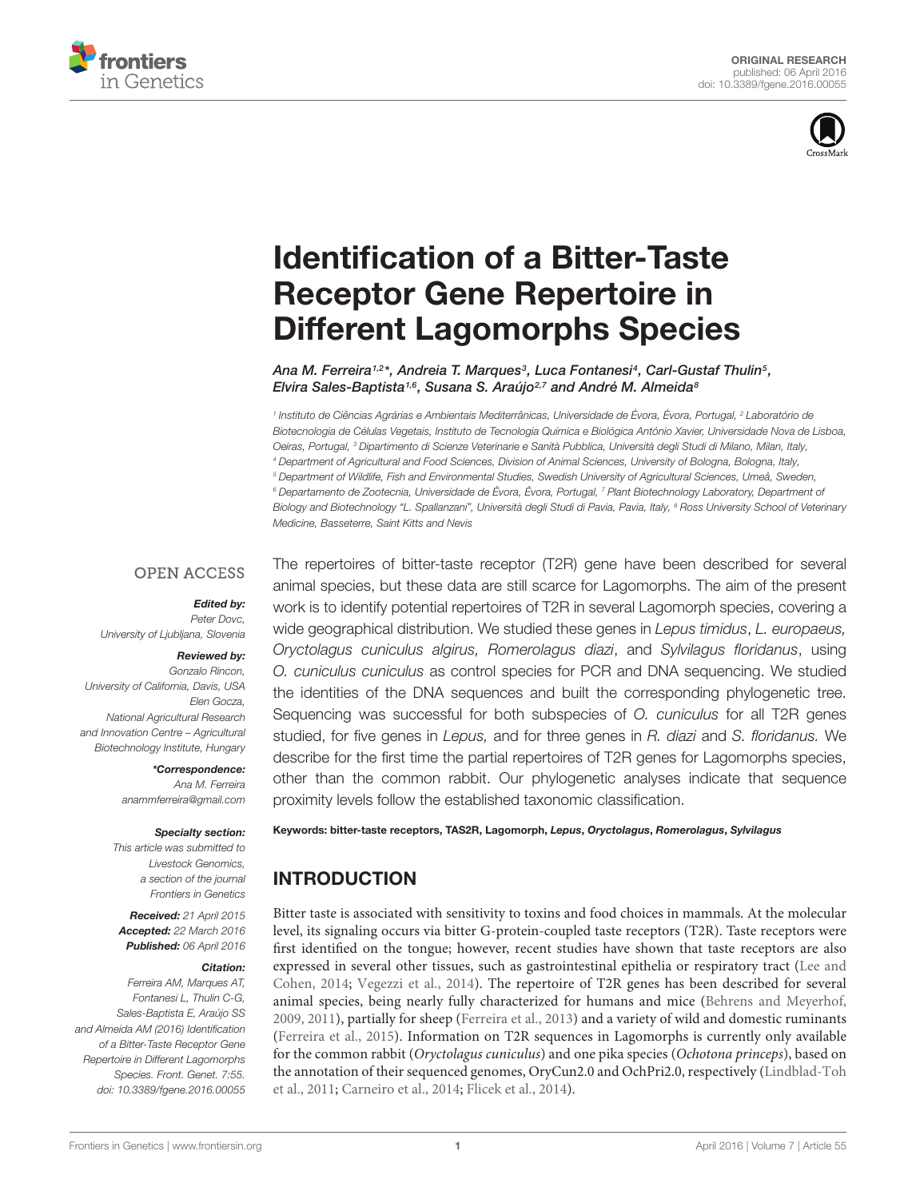



# Identification of a Bitter-Taste Receptor Gene Repertoire in [Different Lagomorphs Species](http://journal.frontiersin.org/article/10.3389/fgene.2016.00055/abstract)

[Ana M. Ferreira](http://loop.frontiersin.org/people/231299/overview)1,2\*, [Andreia T. Marques](http://loop.frontiersin.org/people/337914/overview)3, [Luca Fontanesi](http://loop.frontiersin.org/people/23743/overview)4, [Carl-Gustaf Thulin](http://loop.frontiersin.org/people/335288/overview)5, Elvira Sales-Baptista<sup>1,6</sup>, Susana S. Araújo<sup>2,7</sup> and André M. Almeida<sup>8</sup>

<sup>1</sup> Instituto de Ciências Agrárias e Ambientais Mediterrânicas, Universidade de Évora, Évora, Portugal, <sup>2</sup> Laboratório de Biotecnologia de Células Vegetais, Instituto de Tecnologia Química e Biológica António Xavier, Universidade Nova de Lisboa, Oeiras, Portugal, <sup>3</sup> Dipartimento di Scienze Veterinarie e Sanità Pubblica, Università degli Studi di Milano, Milan, Italy, <sup>4</sup> Department of Agricultural and Food Sciences, Division of Animal Sciences, University of Bologna, Bologna, Italy, <sup>5</sup> Department of Wildlife, Fish and Environmental Studies, Swedish University of Agricultural Sciences, Umeå, Sweden, <sup>6</sup> Departamento de Zootecnia, Universidade de Évora, Évora, Portugal, <sup>7</sup> Plant Biotechnology Laboratory, Department of Biology and Biotechnology "L. Spallanzani", Università degli Studi di Pavia, Pavia, Italy, <sup>8</sup> Ross University School of Veterinary Medicine, Basseterre, Saint Kitts and Nevis

#### **OPEN ACCESS**

#### Edited by:

Peter Dovc, University of Ljubljana, Slovenia

#### Reviewed by:

Gonzalo Rincon, University of California, Davis, USA Elen Gocza, National Agricultural Research and Innovation Centre – Agricultural Biotechnology Institute, Hungary

> \*Correspondence: Ana M. Ferreira anammferreira@gmail.com

#### Specialty section:

This article was submitted to Livestock Genomics, a section of the journal Frontiers in Genetics

Received: 21 April 2015 Accepted: 22 March 2016 Published: 06 April 2016

#### Citation:

Ferreira AM, Marques AT, Fontanesi L, Thulin C-G, Sales-Baptista E, Araújo SS and Almeida AM (2016) Identification of a Bitter-Taste Receptor Gene Repertoire in Different Lagomorphs Species. Front. Genet. 7:55. doi: [10.3389/fgene.2016.00055](http://dx.doi.org/10.3389/fgene.2016.00055) The repertoires of bitter-taste receptor (T2R) gene have been described for several animal species, but these data are still scarce for Lagomorphs. The aim of the present work is to identify potential repertoires of T2R in several Lagomorph species, covering a wide geographical distribution. We studied these genes in Lepus timidus, L. europaeus, Oryctolagus cuniculus algirus, Romerolagus diazi, and Sylvilagus floridanus, using O. cuniculus cuniculus as control species for PCR and DNA sequencing. We studied the identities of the DNA sequences and built the corresponding phylogenetic tree. Sequencing was successful for both subspecies of O. cuniculus for all T2R genes studied, for five genes in Lepus, and for three genes in R. diazi and S. floridanus. We describe for the first time the partial repertoires of T2R genes for Lagomorphs species, other than the common rabbit. Our phylogenetic analyses indicate that sequence proximity levels follow the established taxonomic classification.

Keywords: bitter-taste receptors, TAS2R, Lagomorph, Lepus, Oryctolagus, Romerolagus, Sylvilagus

# INTRODUCTION

Bitter taste is associated with sensitivity to toxins and food choices in mammals. At the molecular level, its signaling occurs via bitter G-protein-coupled taste receptors (T2R). Taste receptors were first identified on the tongue; however, recent studies have shown that taste receptors are also expressed in several other tissues, such as gastrointestinal epithelia or respiratory tract [\(Lee and](#page-4-0) [Cohen, 2014;](#page-4-0) [Vegezzi et al., 2014\)](#page-4-1). The repertoire of T2R genes has been described for several animal species, being nearly fully characterized for humans and mice [\(Behrens and Meyerhof,](#page-4-2) [2009,](#page-4-2) [2011\)](#page-4-3), partially for sheep [\(Ferreira et al., 2013\)](#page-4-4) and a variety of wild and domestic ruminants [\(Ferreira et al., 2015\)](#page-4-5). Information on T2R sequences in Lagomorphs is currently only available for the common rabbit (Oryctolagus cuniculus) and one pika species (Ochotona princeps), based on the annotation of their sequenced genomes, OryCun2.0 and OchPri2.0, respectively [\(Lindblad-Toh](#page-4-6) [et al., 2011;](#page-4-6) [Carneiro et al., 2014;](#page-4-7) [Flicek et al., 2014\)](#page-4-8).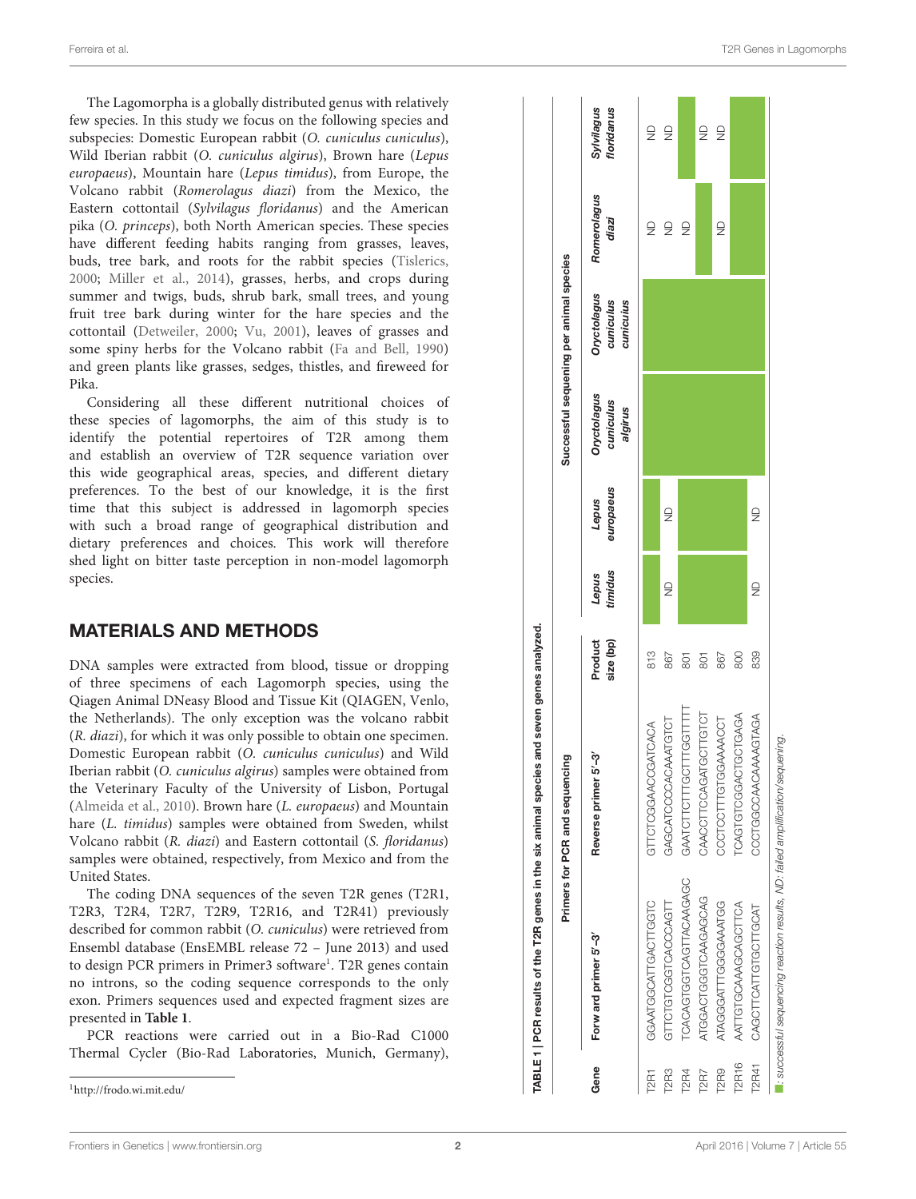The Lagomorpha is a globally distributed genus with relatively few species. In this study we focus on the following species and subspecies: Domestic European rabbit (O. cuniculus cuniculus), Wild Iberian rabbit (O. cuniculus algirus), Brown hare (Lepus europaeus), Mountain hare (Lepus timidus), from Europe, the Volcano rabbit (Romerolagus diazi) from the Mexico, the Eastern cottontail (Sylvilagus floridanus) and the American pika (O. princeps), both North American species. These species have different feeding habits ranging from grasses, leaves, buds, tree bark, and roots for the rabbit species [\(Tislerics](#page-4-9) , [2000](#page-4-9) ; [Miller et al.](#page-4-10) , [2014\)](#page-4-10), grasses, herbs, and crops during summer and twigs, buds, shrub bark, small trees, and young fruit tree bark during winter for the hare species and the cottontail [\(Detweiler](#page-4-11) , [2000](#page-4-11) ; [Vu](#page-4-12) , [2001\)](#page-4-12), leaves of grasses and some spiny herbs for the Volcano rabbit [\(Fa and Bell](#page-4-13) , [1990](#page-4-13) ) and green plants like grasses, sedges, thistles, and fireweed for Pika.

Considering all these different nutritional choices of these species of lagomorphs, the aim of this study is to identify the potential repertoires of T2R among them and establish an overview of T2R sequence variation over this wide geographical areas, species, and different dietary preferences. To the best of our knowledge, it is the first time that this subject is addressed in lagomorph species with such a broad range of geographical distribution and dietary preferences and choices. This work will therefore shed light on bitter taste perception in non-model lagomorph species.

#### MATERIALS AND METHODS

DNA samples were extracted from blood, tissue or dropping of three specimens of each Lagomorph species, using the Qiagen Animal DNeasy Blood and Tissue Kit (QIAGEN, Venlo, the Netherlands). The only exception was the volcano rabbit (R. diazi), for which it was only possible to obtain one specimen. Domestic European rabbit (O. cuniculus cuniculus) and Wild Iberian rabbit (O. cuniculus algirus) samples were obtained from the Veterinary Faculty of the University of Lisbon, Portugal [\(Almeida et al.,](#page-4-14) [2010\)](#page-4-14). Brown hare (L. europaeus) and Mountain hare (L. timidus) samples were obtained from Sweden, whilst Volcano rabbit (R. diazi) and Eastern cottontail (S. floridanus) samples were obtained, respectively, from Mexico and from the United States.

The coding DNA sequences of the seven T2R genes (T2R1, T2R3, T2R4, T2R7, T2R9, T2R16, and T2R41) previously described for common rabbit (O. cuniculus) were retrieved from Ensembl database (EnsEMBL release 72 – June 2013) and used to design PCR primers in Primer3 software<sup>[1](#page-1-0)</sup>. T2R genes contain no introns, so the coding sequence corresponds to the only exon. Primers sequences used and expected fragment sizes are presented in **[Table 1](#page-1-1)** .

PCR reactions were carried out in a Bio-Rad C1000 Thermal Cycler (Bio-Rad Laboratories, Munich, Germany),



<span id="page-1-1"></span><span id="page-1-0"></span><sup>1</sup><http://frodo.wi.mit.edu/>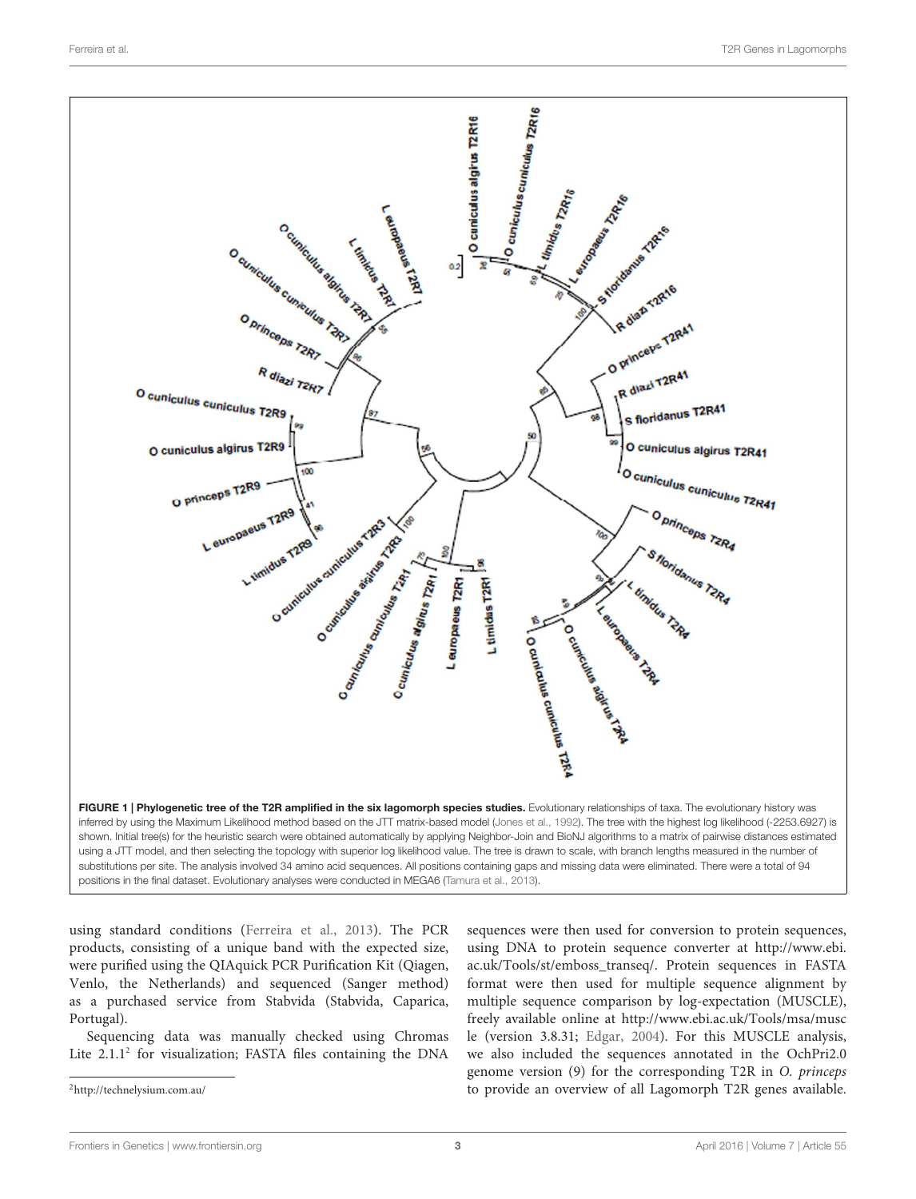

<span id="page-2-1"></span>using standard conditions [\(Ferreira et al.,](#page-4-4) [2013\)](#page-4-4). The PCR products, consisting of a unique band with the expected size, were purified using the QIAquick PCR Purification Kit (Qiagen, Venlo, the Netherlands) and sequenced (Sanger method) as a purchased service from Stabvida (Stabvida, Caparica, Portugal).

Sequencing data was manually checked using Chromas Lite [2](#page-2-0).1.1<sup>2</sup> for visualization; FASTA files containing the DNA

<span id="page-2-0"></span><sup>2</sup><http://technelysium.com.au/>

sequences were then used for conversion to protein sequences, using DNA to protein sequence converter at [http://www.ebi.](http://www.ebi.ac.uk/Tools/st/emboss_transeq/) [ac.uk/Tools/st/emboss\\_transeq/.](http://www.ebi.ac.uk/Tools/st/emboss_transeq/) Protein sequences in FASTA format were then used for multiple sequence alignment by multiple sequence comparison by log-expectation (MUSCLE), freely available online at [http://www.ebi.ac.uk/Tools/msa/musc](http://www.ebi.ac.uk/Tools/msa/muscle) [le](http://www.ebi.ac.uk/Tools/msa/muscle) (version 3.8.31; [Edgar,](#page-4-17) [2004\)](#page-4-17). For this MUSCLE analysis, we also included the sequences annotated in the OchPri2.0 genome version (9) for the corresponding T2R in O. princeps to provide an overview of all Lagomorph T2R genes available.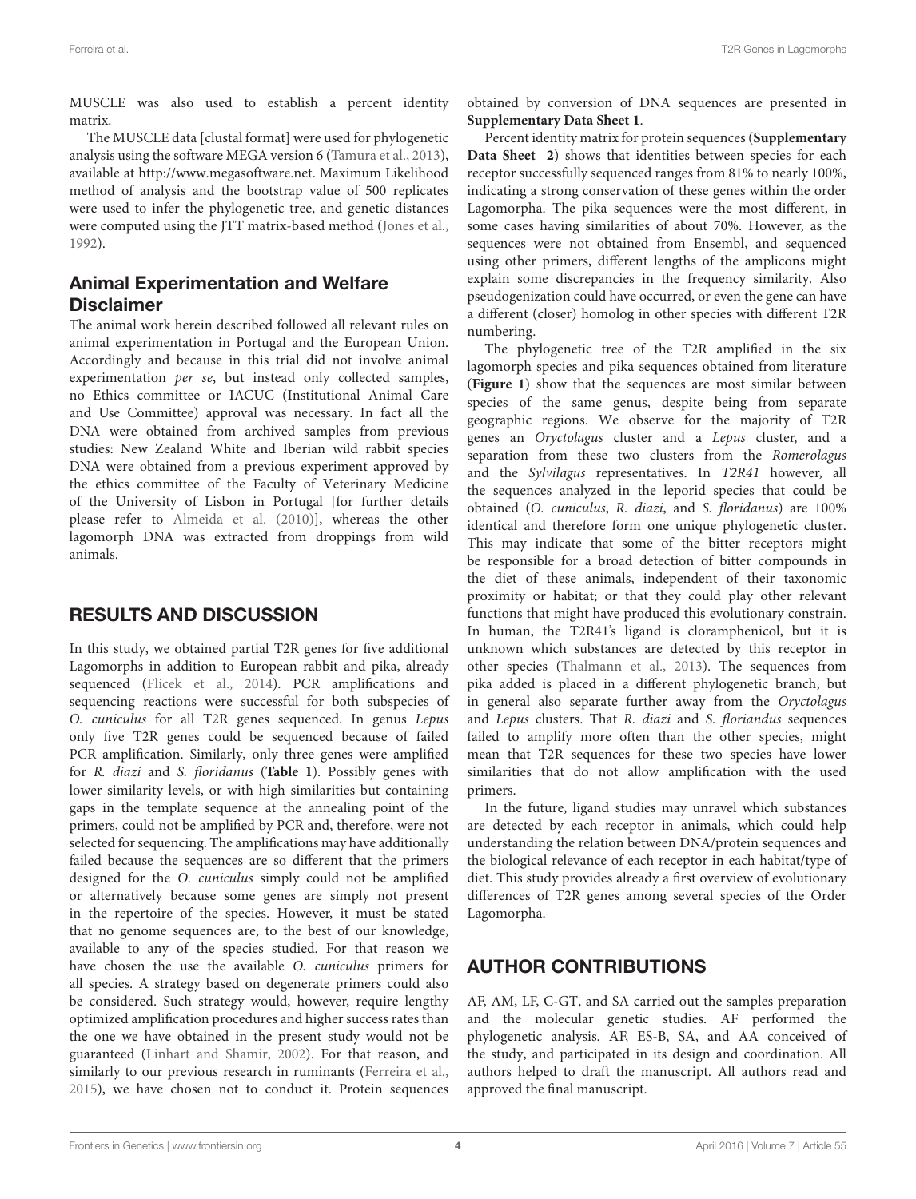MUSCLE was also used to establish a percent identity matrix.

The MUSCLE data [clustal format] were used for phylogenetic analysis using the software MEGA version 6 [\(Tamura et al.,](#page-4-16) [2013\)](#page-4-16), available at [http://www.megasoftware.net.](http://www.megasoftware.net) Maximum Likelihood method of analysis and the bootstrap value of 500 replicates were used to infer the phylogenetic tree, and genetic distances were computed using the JTT matrix-based method [\(Jones et al.,](#page-4-15) [1992\)](#page-4-15).

### Animal Experimentation and Welfare **Disclaimer**

The animal work herein described followed all relevant rules on animal experimentation in Portugal and the European Union. Accordingly and because in this trial did not involve animal experimentation per se, but instead only collected samples, no Ethics committee or IACUC (Institutional Animal Care and Use Committee) approval was necessary. In fact all the DNA were obtained from archived samples from previous studies: New Zealand White and Iberian wild rabbit species DNA were obtained from a previous experiment approved by the ethics committee of the Faculty of Veterinary Medicine of the University of Lisbon in Portugal [for further details please refer to [Almeida et al.](#page-4-14) [\(2010\)](#page-4-14)], whereas the other lagomorph DNA was extracted from droppings from wild animals.

# RESULTS AND DISCUSSION

In this study, we obtained partial T2R genes for five additional Lagomorphs in addition to European rabbit and pika, already sequenced [\(Flicek et al.,](#page-4-8) [2014\)](#page-4-8). PCR amplifications and sequencing reactions were successful for both subspecies of O. cuniculus for all T2R genes sequenced. In genus Lepus only five T2R genes could be sequenced because of failed PCR amplification. Similarly, only three genes were amplified for R. diazi and S. floridanus (**[Table 1](#page-1-1)**). Possibly genes with lower similarity levels, or with high similarities but containing gaps in the template sequence at the annealing point of the primers, could not be amplified by PCR and, therefore, were not selected for sequencing. The amplifications may have additionally failed because the sequences are so different that the primers designed for the O. cuniculus simply could not be amplified or alternatively because some genes are simply not present in the repertoire of the species. However, it must be stated that no genome sequences are, to the best of our knowledge, available to any of the species studied. For that reason we have chosen the use the available O. cuniculus primers for all species. A strategy based on degenerate primers could also be considered. Such strategy would, however, require lengthy optimized amplification procedures and higher success rates than the one we have obtained in the present study would not be guaranteed [\(Linhart and Shamir,](#page-4-18) [2002\)](#page-4-18). For that reason, and similarly to our previous research in ruminants [\(Ferreira et al.,](#page-4-5) [2015\)](#page-4-5), we have chosen not to conduct it. Protein sequences obtained by conversion of DNA sequences are presented in **[Supplementary Data Sheet 1](#page-4-19)**.

Percent identity matrix for protein sequences (**Supplementary Data Sheet 2**) shows that identities between species for each receptor successfully sequenced ranges from 81% to nearly 100%, indicating a strong conservation of these genes within the order Lagomorpha. The pika sequences were the most different, in some cases having similarities of about 70%. However, as the sequences were not obtained from Ensembl, and sequenced using other primers, different lengths of the amplicons might explain some discrepancies in the frequency similarity. Also pseudogenization could have occurred, or even the gene can have a different (closer) homolog in other species with different T2R numbering.

The phylogenetic tree of the T2R amplified in the six lagomorph species and pika sequences obtained from literature (**[Figure 1](#page-2-1)**) show that the sequences are most similar between species of the same genus, despite being from separate geographic regions. We observe for the majority of T2R genes an Oryctolagus cluster and a Lepus cluster, and a separation from these two clusters from the Romerolagus and the Sylvilagus representatives. In T2R41 however, all the sequences analyzed in the leporid species that could be obtained (O. cuniculus, R. diazi, and S. floridanus) are 100% identical and therefore form one unique phylogenetic cluster. This may indicate that some of the bitter receptors might be responsible for a broad detection of bitter compounds in the diet of these animals, independent of their taxonomic proximity or habitat; or that they could play other relevant functions that might have produced this evolutionary constrain. In human, the T2R41's ligand is cloramphenicol, but it is unknown which substances are detected by this receptor in other species [\(Thalmann et al.,](#page-4-20) [2013\)](#page-4-20). The sequences from pika added is placed in a different phylogenetic branch, but in general also separate further away from the Oryctolagus and Lepus clusters. That R. diazi and S. floriandus sequences failed to amplify more often than the other species, might mean that T2R sequences for these two species have lower similarities that do not allow amplification with the used primers.

In the future, ligand studies may unravel which substances are detected by each receptor in animals, which could help understanding the relation between DNA/protein sequences and the biological relevance of each receptor in each habitat/type of diet. This study provides already a first overview of evolutionary differences of T2R genes among several species of the Order Lagomorpha.

# AUTHOR CONTRIBUTIONS

AF, AM, LF, C-GT, and SA carried out the samples preparation and the molecular genetic studies. AF performed the phylogenetic analysis. AF, ES-B, SA, and AA conceived of the study, and participated in its design and coordination. All authors helped to draft the manuscript. All authors read and approved the final manuscript.